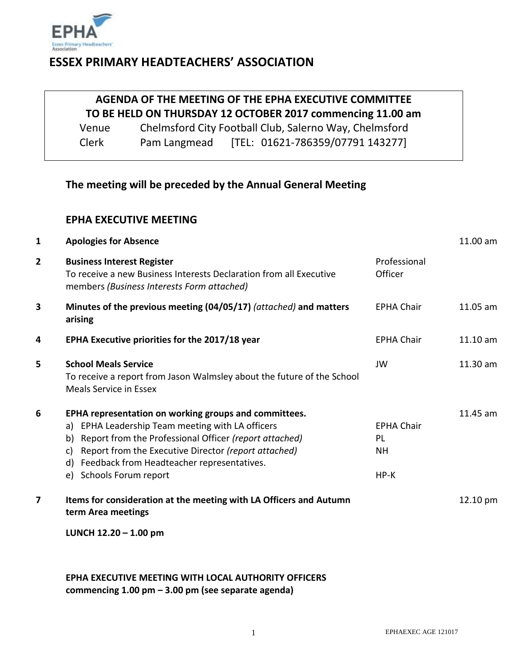

## **ESSEX PRIMARY HEADTEACHERS' ASSOCIATION**

# **AGENDA OF THE MEETING OF THE EPHA EXECUTIVE COMMITTEE TO BE HELD ON THURSDAY 12 OCTOBER 2017 commencing 11.00 am**

Venue Chelmsford City Football Club, Salerno Way, Chelmsford Clerk Pam Langmead [TEL: 01621-786359/07791 143277]

### **The meeting will be preceded by the Annual General Meeting**

#### **EPHA EXECUTIVE MEETING**

| 1              | <b>Apologies for Absence</b>                                                                                                                                                                                                                                                                                           |                                                | $11.00$ am |
|----------------|------------------------------------------------------------------------------------------------------------------------------------------------------------------------------------------------------------------------------------------------------------------------------------------------------------------------|------------------------------------------------|------------|
| $\mathbf{2}$   | <b>Business Interest Register</b><br>To receive a new Business Interests Declaration from all Executive<br>members (Business Interests Form attached)                                                                                                                                                                  | Professional<br>Officer                        |            |
| 3              | Minutes of the previous meeting (04/05/17) (attached) and matters<br>arising                                                                                                                                                                                                                                           | <b>FPHA Chair</b>                              | $11.05$ am |
| 4              | EPHA Executive priorities for the 2017/18 year                                                                                                                                                                                                                                                                         | <b>EPHA Chair</b>                              | $11.10$ am |
| 5              | <b>School Meals Service</b><br>To receive a report from Jason Walmsley about the future of the School<br>Meals Service in Essex                                                                                                                                                                                        | JW                                             | 11.30 am   |
| 6              | EPHA representation on working groups and committees.<br>a) EPHA Leadership Team meeting with LA officers<br>Report from the Professional Officer (report attached)<br>b)<br>Report from the Executive Director (report attached)<br>C)<br>Feedback from Headteacher representatives.<br>d)<br>e) Schools Forum report | <b>EPHA Chair</b><br>PL<br><b>NH</b><br>$HP-K$ | 11.45 am   |
| $\overline{7}$ | Items for consideration at the meeting with LA Officers and Autumn<br>term Area meetings                                                                                                                                                                                                                               |                                                | 12.10 pm   |

**LUNCH 12.20 – 1.00 pm**

#### **EPHA EXECUTIVE MEETING WITH LOCAL AUTHORITY OFFICERS commencing 1.00 pm – 3.00 pm (see separate agenda)**